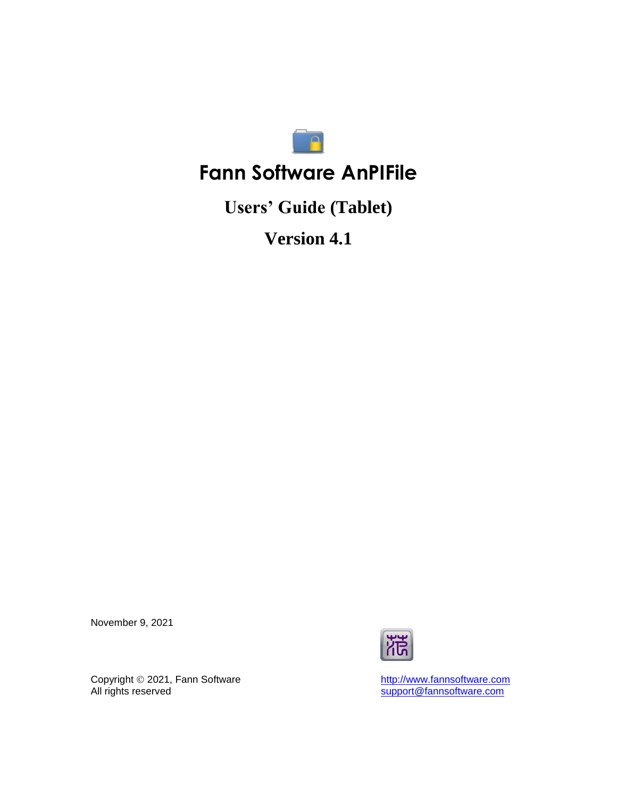

# **Fann Software AnPIFile**

**Users' Guide (Tablet)**

**Version 4.1**

November 9, 2021



Copyright  $@$  2021, Fann Software Copyright © 2021, Fann Software<br>All rights reserved<br>All rights reserved<br>Support@fannsoftware.com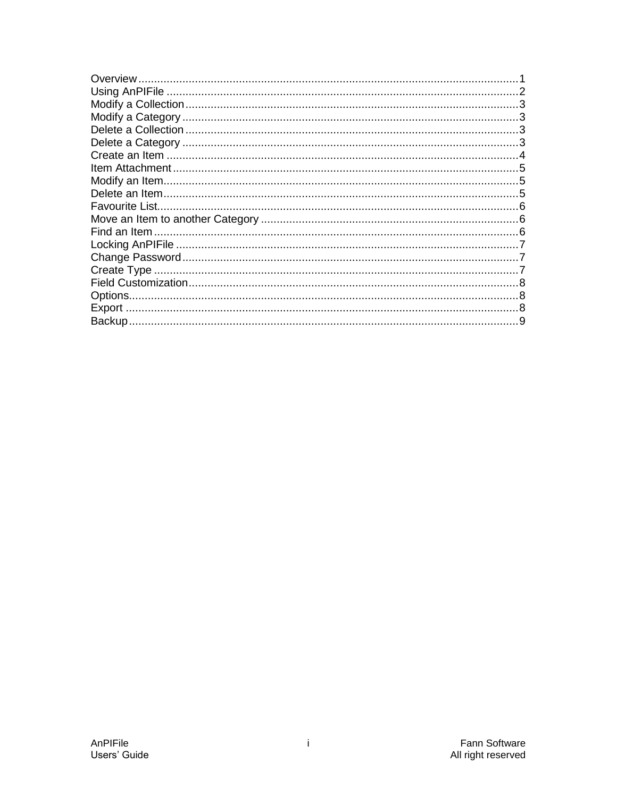| Overview       |  |
|----------------|--|
|                |  |
|                |  |
|                |  |
|                |  |
|                |  |
|                |  |
|                |  |
|                |  |
|                |  |
| Favourite List |  |
|                |  |
| Find an Item   |  |
|                |  |
|                |  |
|                |  |
|                |  |
|                |  |
|                |  |
|                |  |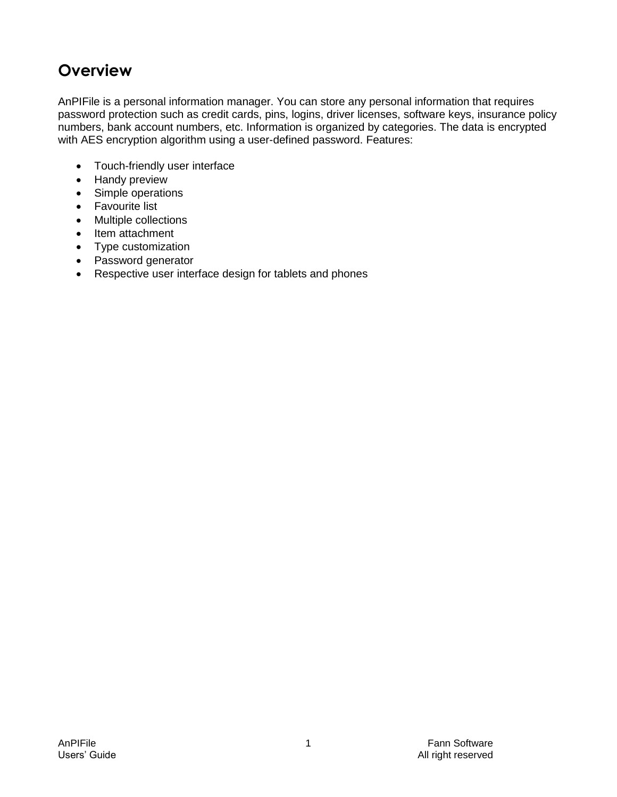# <span id="page-2-0"></span>**Overview**

AnPIFile is a personal information manager. You can store any personal information that requires password protection such as credit cards, pins, logins, driver licenses, software keys, insurance policy numbers, bank account numbers, etc. Information is organized by categories. The data is encrypted with AES encryption algorithm using a user-defined password. Features:

- Touch-friendly user interface
- Handy preview
- Simple operations
- Favourite list
- Multiple collections
- Item attachment
- Type customization
- Password generator
- Respective user interface design for tablets and phones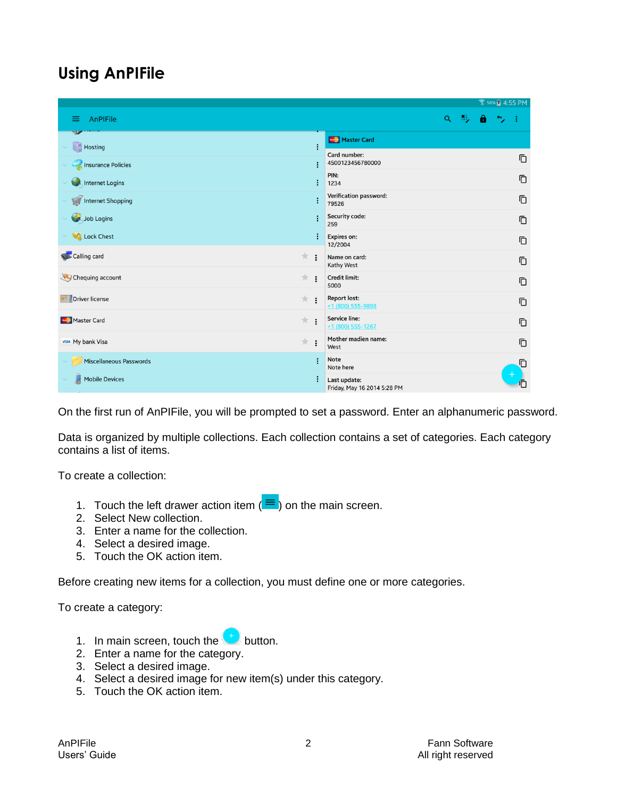# <span id="page-3-0"></span>**Using AnPIFile**

|                                     |           |                |                                             | <b>图 58% 图 4:55 PM</b> |    |   |          |   |
|-------------------------------------|-----------|----------------|---------------------------------------------|------------------------|----|---|----------|---|
| AnPIFile<br>≡                       |           |                |                                             | Q                      | Ξ, | е | <b>Q</b> |   |
| $H_{\text{Osting}}$<br>$\checkmark$ |           | ÷              | Master Card                                 |                        |    |   |          |   |
| <b>All insurance Policies</b>       |           | i              | Card number:<br>4500123456780000            |                        |    |   |          | Ō |
| <b>Allentification</b>              |           | ÷              | PIN:<br>1234                                |                        |    |   |          | Ō |
| Internet Shopping                   |           |                | Verification password:<br>79526             |                        |    |   |          | Ō |
| Job Logins                          |           |                | Security code:<br>259                       |                        |    |   |          | Ō |
| △ A Lock Chest                      |           |                | Expires on:<br>12/2004                      |                        |    |   |          | Ō |
| Calling card                        | *:        |                | Name on card:<br>Kathy West                 |                        |    |   |          | Ō |
| Chequing account                    | $\pi$ :   |                | Credit limit:<br>5000                       |                        |    |   |          | Ō |
| Driver license                      | $\star$ : |                | <b>Report lost:</b><br>+1 (800) 555-9898    |                        |    |   |          | Ō |
| Master Card                         | $\pi$ :   |                | Service line:<br>+1 (800) 555-1267          |                        |    |   |          | Ō |
| <b>VISA</b> My bank Visa            | * :       |                | Mother madien name:<br>West                 |                        |    |   |          | Ō |
| Miscellaneous Passwords             |           | $\ddot{\cdot}$ | Note<br>Note here                           |                        |    |   |          | Ō |
| Mobile Devices<br>$\checkmark$      |           |                | Last update:<br>Friday, May 16 2014 5:28 PM |                        |    |   |          |   |

On the first run of AnPIFile, you will be prompted to set a password. Enter an alphanumeric password.

Data is organized by multiple collections. Each collection contains a set of categories. Each category contains a list of items.

To create a collection:

- 1. Touch the left drawer action item  $(\equiv )$  on the main screen.
- 2. Select New collection.
- 3. Enter a name for the collection.
- 4. Select a desired image.
- 5. Touch the OK action item.

Before creating new items for a collection, you must define one or more categories.

To create a category:

- 1. In main screen, touch the  $\begin{pmatrix} + \\ \end{pmatrix}$  button.
- 2. Enter a name for the category.
- 3. Select a desired image.
- 4. Select a desired image for new item(s) under this category.
- 5. Touch the OK action item.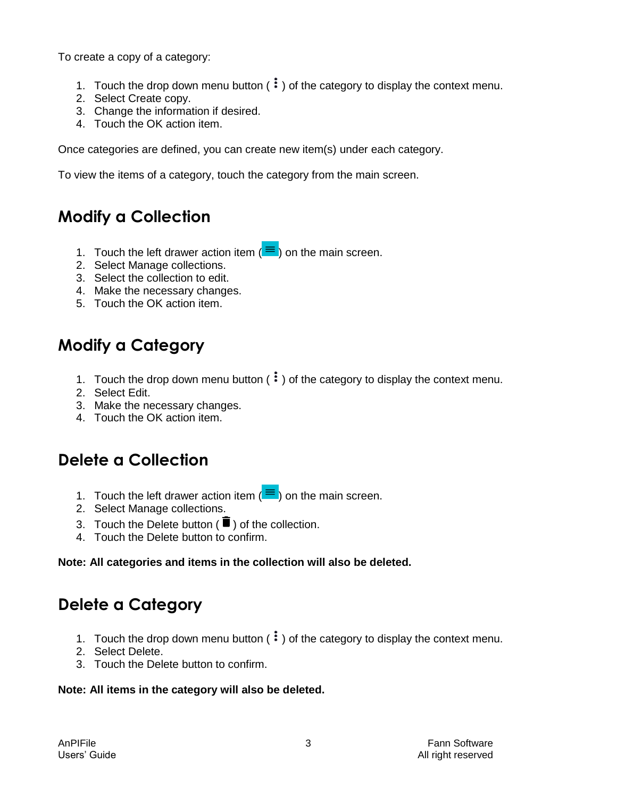To create a copy of a category:

- 1. Touch the drop down menu button  $(\cdot\cdot)$  of the category to display the context menu.
- 2. Select Create copy.
- 3. Change the information if desired.
- 4. Touch the OK action item.

Once categories are defined, you can create new item(s) under each category.

To view the items of a category, touch the category from the main screen.

# <span id="page-4-0"></span>**Modify a Collection**

- 1. Touch the left drawer action item  $(\equiv)$  on the main screen.
- 2. Select Manage collections.
- 3. Select the collection to edit.
- 4. Make the necessary changes.
- 5. Touch the OK action item.

# <span id="page-4-1"></span>**Modify a Category**

- 1. Touch the drop down menu button  $(\cdot\cdot)$  of the category to display the context menu.
- 2. Select Edit.
- 3. Make the necessary changes.
- 4. Touch the OK action item.

# <span id="page-4-2"></span>**Delete a Collection**

- 1. Touch the left drawer action item  $(\equiv )$  on the main screen.
- 2. Select Manage collections.
- 3. Touch the Delete button ( $\blacksquare$ ) of the collection.
- 4. Touch the Delete button to confirm.

#### **Note: All categories and items in the collection will also be deleted.**

# <span id="page-4-3"></span>**Delete a Category**

- 1. Touch the drop down menu button  $(\cdot\cdot)$  of the category to display the context menu.
- 2. Select Delete.
- 3. Touch the Delete button to confirm.

#### **Note: All items in the category will also be deleted.**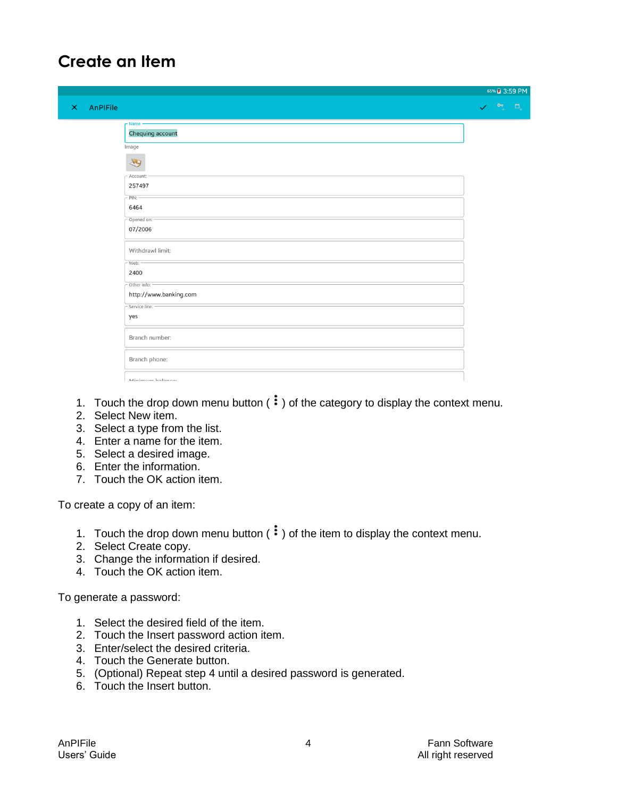# <span id="page-5-0"></span>**Create an Item**

|                      |                                       | 65% 3:59 PM                    |                |
|----------------------|---------------------------------------|--------------------------------|----------------|
| AnPIFile<br>$\times$ |                                       | $\mathbf{e}^+$<br>$\checkmark$ | $\Box_{\!\!+}$ |
|                      | $r$ Name -<br>Chequing account        |                                |                |
|                      | Image<br>19                           |                                |                |
|                      | Account:<br>257497                    |                                |                |
|                      | PIN:<br>6464<br>Opened on: -          |                                |                |
|                      | 07/2006                               |                                |                |
|                      | Withdrawl limit:<br>Web: -<br>2400    |                                |                |
|                      | Other info:<br>http://www.banking.com |                                |                |
|                      | Service line:<br>yes                  |                                |                |
|                      | Branch number:                        |                                |                |
|                      | Branch phone:<br>Minimum halances     |                                |                |

- 1. Touch the drop down menu button  $(\cdot\cdot)$  of the category to display the context menu.
- 2. Select New item.
- 3. Select a type from the list.
- 4. Enter a name for the item.
- 5. Select a desired image.
- 6. Enter the information.
- 7. Touch the OK action item.

To create a copy of an item:

- 1. Touch the drop down menu button  $\left( \cdot \right)$  of the item to display the context menu.
- 2. Select Create copy.
- 3. Change the information if desired.
- 4. Touch the OK action item.

To generate a password:

- 1. Select the desired field of the item.
- 2. Touch the Insert password action item.
- 3. Enter/select the desired criteria.
- 4. Touch the Generate button.
- 5. (Optional) Repeat step 4 until a desired password is generated.
- 6. Touch the Insert button.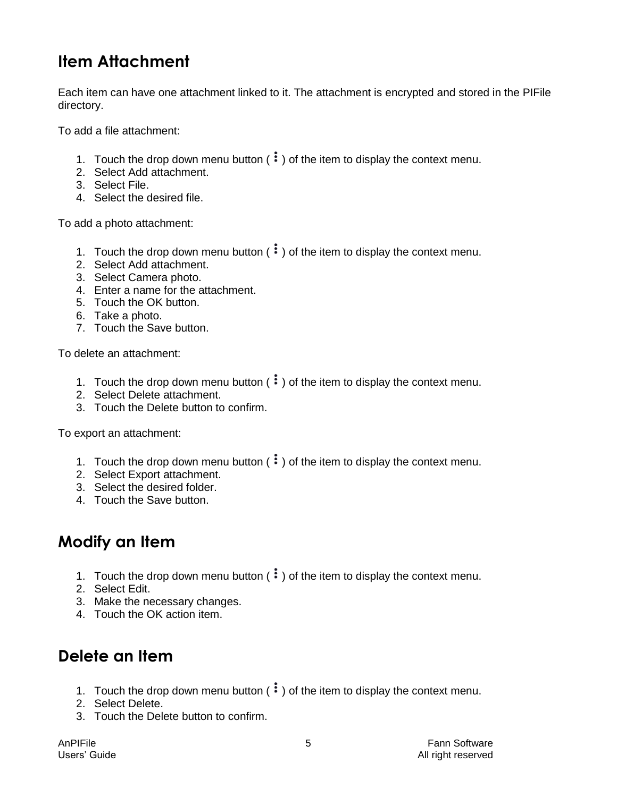# <span id="page-6-0"></span>**Item Attachment**

Each item can have one attachment linked to it. The attachment is encrypted and stored in the PIFile directory.

To add a file attachment:

- 1. Touch the drop down menu button  $(\cdot)$  of the item to display the context menu.
- 2. Select Add attachment.
- 3. Select File.
- 4. Select the desired file.

To add a photo attachment:

- 1. Touch the drop down menu button  $(\cdot\cdot)$  of the item to display the context menu.
- 2. Select Add attachment.
- 3. Select Camera photo.
- 4. Enter a name for the attachment.
- 5. Touch the OK button.
- 6. Take a photo.
- 7. Touch the Save button.

To delete an attachment:

- 1. Touch the drop down menu button  $(\cdot\cdot)$  of the item to display the context menu.
- 2. Select Delete attachment.
- 3. Touch the Delete button to confirm.

To export an attachment:

- 1. Touch the drop down menu button  $(\cdot)$  of the item to display the context menu.
- 2. Select Export attachment.
- 3. Select the desired folder.
- 4. Touch the Save button.

#### <span id="page-6-1"></span>**Modify an Item**

- 1. Touch the drop down menu button  $(\cdot\cdot)$  of the item to display the context menu.
- 2. Select Edit.
- 3. Make the necessary changes.
- 4. Touch the OK action item.

### <span id="page-6-2"></span>**Delete an Item**

- 1. Touch the drop down menu button  $(\cdot\cdot)$  of the item to display the context menu.
- 2. Select Delete.
- 3. Touch the Delete button to confirm.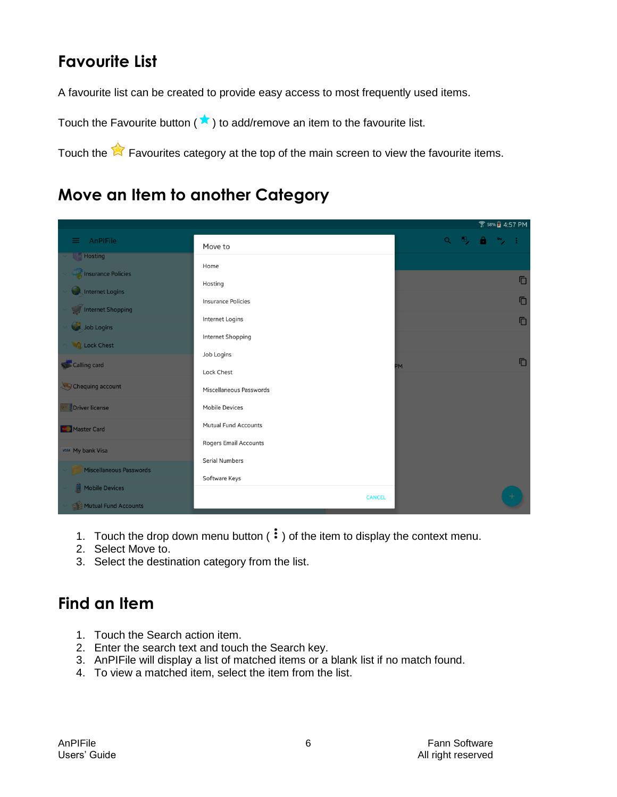# <span id="page-7-0"></span>**Favourite List**

A favourite list can be created to provide easy access to most frequently used items.

Touch the Favourite button ( $\star$ ) to add/remove an item to the favourite list.

Touch the  $\mathbb{R}$  Favourites category at the top of the main screen to view the favourite items.

## <span id="page-7-1"></span>**Move an Item to another Category**

|                          |                              |           |       |  |        | <b>● 58% 2 4:57 PM</b> |
|--------------------------|------------------------------|-----------|-------|--|--------|------------------------|
| $\equiv$ AnPIFile        | Move to                      |           | 9. 马台 |  | $\sim$ |                        |
| Hosting                  | Home                         |           |       |  |        |                        |
| Insurance Policies       |                              |           |       |  |        | Ō                      |
| <b>A</b> Internet Logins | Hosting                      |           |       |  |        |                        |
| Internet Shopping        | <b>Insurance Policies</b>    |           |       |  |        | Ō                      |
| Job Logins               | Internet Logins              |           |       |  |        | Ō                      |
|                          | Internet Shopping            |           |       |  |        |                        |
| <b>COLLOCK Chest</b>     | Job Logins                   |           |       |  |        |                        |
| Calling card             | <b>Lock Chest</b>            | <b>PM</b> |       |  |        | Ō                      |
| Chequing account         | Miscellaneous Passwords      |           |       |  |        |                        |
| Driver license           | <b>Mobile Devices</b>        |           |       |  |        |                        |
| Master Card              | <b>Mutual Fund Accounts</b>  |           |       |  |        |                        |
| <b>VISA</b> My bank Visa | <b>Rogers Email Accounts</b> |           |       |  |        |                        |
|                          | <b>Serial Numbers</b>        |           |       |  |        |                        |
| Miscellaneous Passwords  | Software Keys                |           |       |  |        |                        |
| Mobile Devices           | <b>CANCEL</b>                |           |       |  |        |                        |
| Mutual Fund Accounts     |                              |           |       |  |        |                        |

- 1. Touch the drop down menu button  $(\cdot)$  of the item to display the context menu.
- 2. Select Move to.
- 3. Select the destination category from the list.

# <span id="page-7-2"></span>**Find an Item**

- 1. Touch the Search action item.
- 2. Enter the search text and touch the Search key.
- 3. AnPIFile will display a list of matched items or a blank list if no match found.
- 4. To view a matched item, select the item from the list.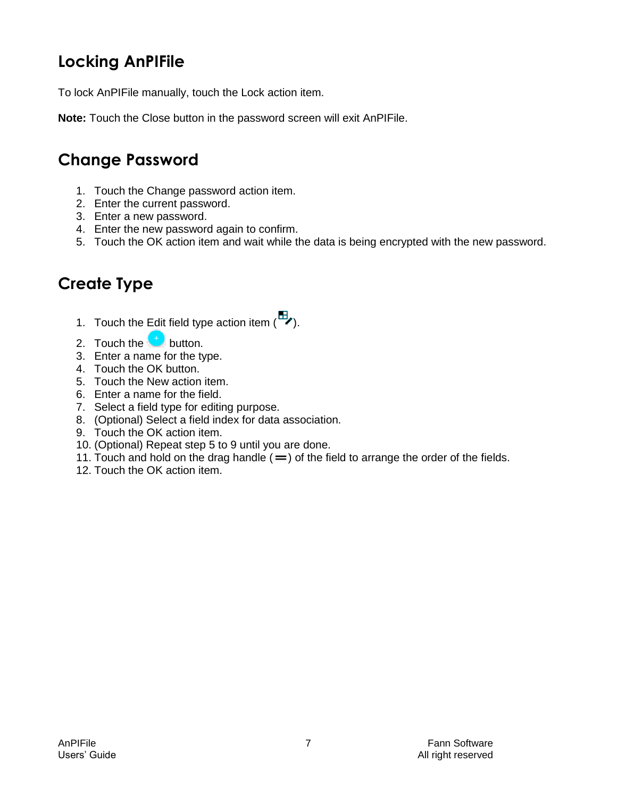# <span id="page-8-0"></span>**Locking AnPIFile**

To lock AnPIFile manually, touch the Lock action item.

**Note:** Touch the Close button in the password screen will exit AnPIFile.

# <span id="page-8-1"></span>**Change Password**

- 1. Touch the Change password action item.
- 2. Enter the current password.
- 3. Enter a new password.
- 4. Enter the new password again to confirm.
- 5. Touch the OK action item and wait while the data is being encrypted with the new password.

# <span id="page-8-2"></span>**Create Type**

- 1. Touch the Edit field type action item  $\begin{pmatrix} \mathbb{H} \\ \mathbb{I} \end{pmatrix}$ .
- 2. Touch the  $\bigoplus$  button.
- 3. Enter a name for the type.
- 4. Touch the OK button.
- 5. Touch the New action item.
- 6. Enter a name for the field.
- 7. Select a field type for editing purpose.
- 8. (Optional) Select a field index for data association.
- 9. Touch the OK action item.
- 10. (Optional) Repeat step 5 to 9 until you are done.
- 11. Touch and hold on the drag handle  $($  =  $)$  of the field to arrange the order of the fields.
- 12. Touch the OK action item.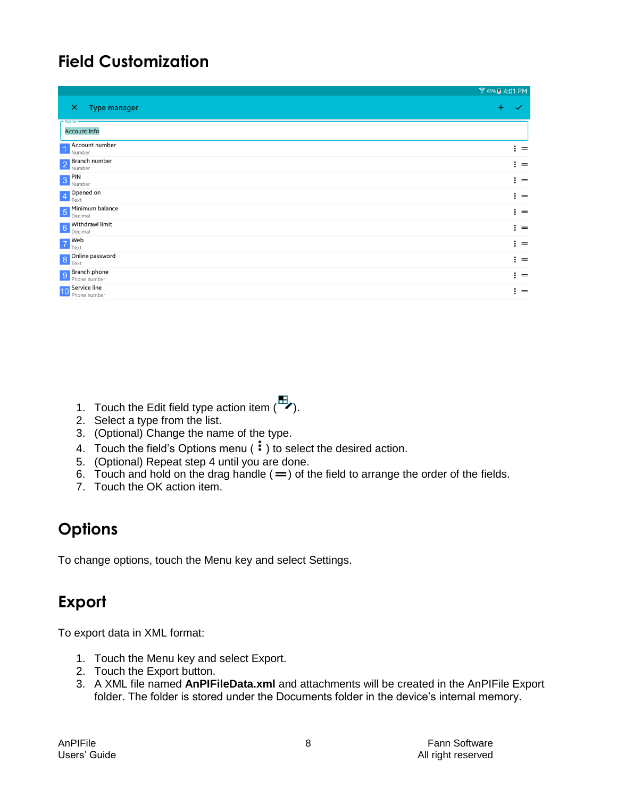# <span id="page-9-0"></span>**Field Customization**

|                                                  | <del></del> 65% ▲ 4:01 PM |
|--------------------------------------------------|---------------------------|
| <b>Type manager</b><br>$\boldsymbol{\mathsf{x}}$ | $\ddot{}$                 |
| $r$ Name<br><b>Account Info</b>                  |                           |
| <b>Account number</b><br>1 Number                | $\mathbf{r} =$            |
| 2 Branch number                                  | $\mathbf{i} =$            |
| 3 PIN<br>Number                                  | $\vdots$ =                |
| 4 Opened on                                      | $\vdots$ =                |
| 5 Minimum balance                                | $\vdots$ =                |
| 6 Withdrawl limit                                | $\vdots$ =                |
| $7$ Web                                          | $\vdots$ =                |
| 8 Online password                                | $\vdots$ =                |
| 9 <b>Branch phone</b>                            | $\mathbf{H} =$            |
| 10 Service line<br>Phone number                  | $\vdots$ =                |

- 1. Touch the Edit field type action item  $\begin{pmatrix} \mathbb{H} \\ \mathbb{I} \end{pmatrix}$ .
- 2. Select a type from the list.
- 3. (Optional) Change the name of the type.
- 4. Touch the field's Options menu  $(\cdot)$  to select the desired action.
- 5. (Optional) Repeat step 4 until you are done.
- 6. Touch and hold on the drag handle  $( = )$  of the field to arrange the order of the fields.
- 7. Touch the OK action item.

# <span id="page-9-1"></span>**Options**

To change options, touch the Menu key and select Settings.

#### <span id="page-9-2"></span>**Export**

To export data in XML format:

- 1. Touch the Menu key and select Export.
- 2. Touch the Export button.
- 3. A XML file named **AnPIFileData.xml** and attachments will be created in the AnPIFile Export folder. The folder is stored under the Documents folder in the device's internal memory.